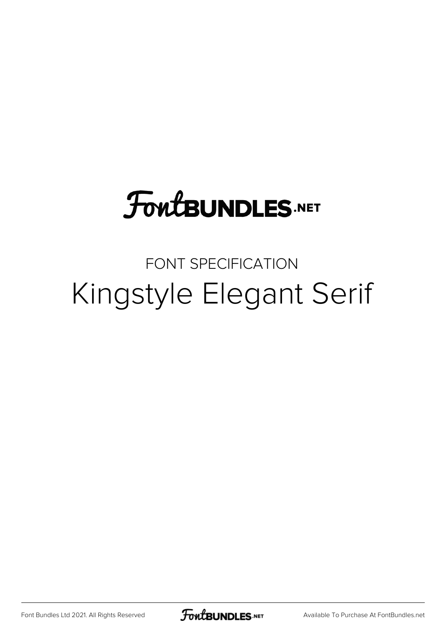## **FoutBUNDLES.NET**

#### FONT SPECIFICATION Kingstyle Elegant Serif

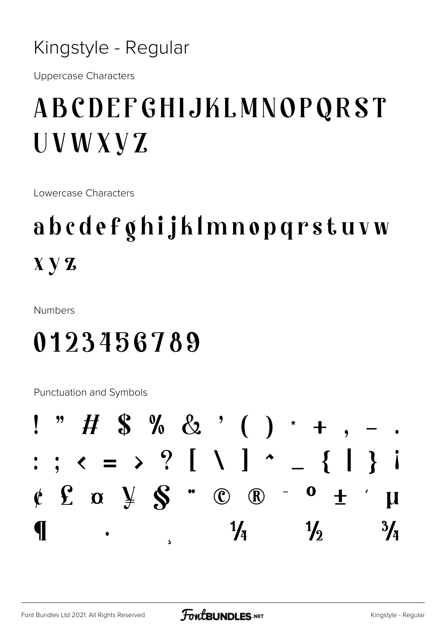Kingstyle - Regular

**Uppercase Characters** 

## ABCDEFGHIJKLMNOPQRST UVWXVZ

Lowercase Characters

## abcdefghijklmnopqrstuvw  $X \, Y \, Z$

**Numbers** 

#### 0123456789

**Punctuation and Symbols** 

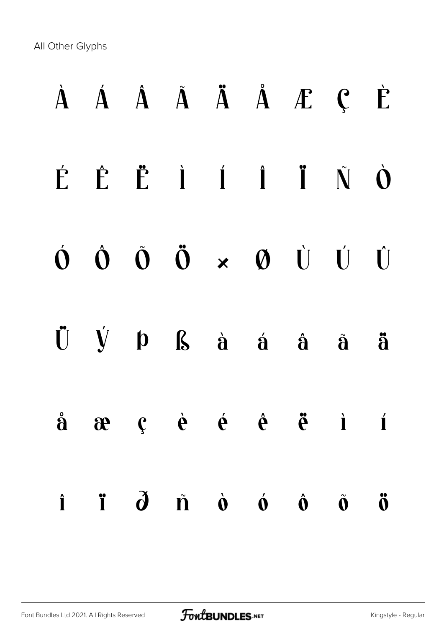All Other Glyphs

|                                        |  |  | $\dot{A}$ $\dot{A}$ $\dot{A}$ $\ddot{A}$ $\dot{A}$ $\dot{A}$ $\dot{C}$ $\dot{C}$                                                        |                      |                     |
|----------------------------------------|--|--|-----------------------------------------------------------------------------------------------------------------------------------------|----------------------|---------------------|
|                                        |  |  | É Ê Ë İ Í Ï Ñ Ò                                                                                                                         |                      |                     |
|                                        |  |  | $\begin{array}{ccccccccccccc}\n\bullet & \hat{O} & \hat{O} & \hat{O} & \times & \varnothing & \dot{U} & \dot{U} & \dot{U}\n\end{array}$ |                      |                     |
|                                        |  |  | $\ddot{U} \quad \dot{V} \quad p \quad S \quad \dot{a} \quad \dot{a} \quad \dot{a} \quad \ddot{a} \quad \ddot{a}$                        |                      |                     |
|                                        |  |  | $\dot{a}$ $\alpha$ $\dot{c}$ $\dot{e}$ $\dot{e}$ $\ddot{e}$ $\ddot{e}$ $\ddot{a}$ i                                                     |                      |                     |
| $\mathbf{i}$ $\mathbf{i}$ $\mathbf{d}$ |  |  | $\tilde{\mathbf{n}}$ $\dot{\mathbf{o}}$ $\dot{\mathbf{o}}$ $\dot{\mathbf{o}}$                                                           | $\tilde{\mathbf{0}}$ | $\ddot{\textbf{0}}$ |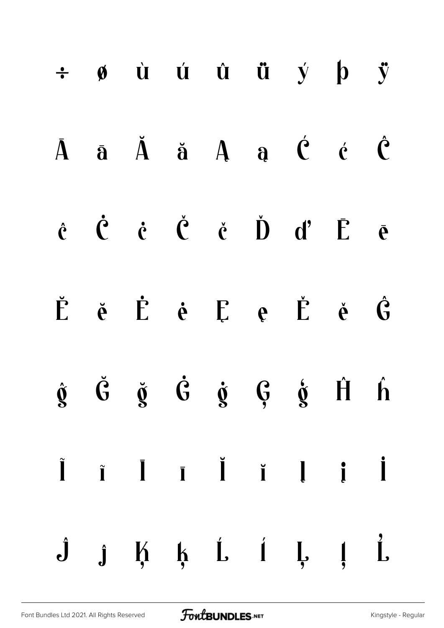|  |  |  | $\div$ $\phi$ ù ú û ü ý þ ÿ                                                                                                                                                                                                                                                                                |  |
|--|--|--|------------------------------------------------------------------------------------------------------------------------------------------------------------------------------------------------------------------------------------------------------------------------------------------------------------|--|
|  |  |  | $\bar{A}$ $\bar{a}$ $\ddot{A}$ $\ddot{a}$ $A$ $\dot{a}$ $\dot{C}$ $\dot{C}$                                                                                                                                                                                                                                |  |
|  |  |  | $\dot{q}$ $\dot{q}$ $\dot{q}$ $\dot{q}$ $\dot{q}$ $\dot{q}$ $\dot{q}$ $\dot{r}$ $\dot{r}$ $\dot{r}$                                                                                                                                                                                                        |  |
|  |  |  | $\check{E}$ $\check{e}$ $\check{E}$ $\check{e}$ $\check{E}$ $e$ $\check{E}$ $\check{e}$ $\check{G}$                                                                                                                                                                                                        |  |
|  |  |  | $\dot{\mathfrak{g}}$ $\ddot{\mathfrak{G}}$ $\ddot{\mathfrak{g}}$ $\dot{\mathfrak{G}}$ $\dot{\mathfrak{g}}$ $\ddot{\mathfrak{g}}$ $\dot{\mathfrak{h}}$ $\dot{\mathfrak{h}}$                                                                                                                                 |  |
|  |  |  | $\begin{array}{ccccccccccccccccc} \tilde{\textbf{I}} & \tilde{\textbf{I}} & \tilde{\textbf{I}} & \tilde{\textbf{I}} & \tilde{\textbf{I}} & \tilde{\textbf{I}} & \tilde{\textbf{I}} & \tilde{\textbf{I}} & \tilde{\textbf{I}} & \tilde{\textbf{I}} & \tilde{\textbf{I}} & \tilde{\textbf{I}} & \end{array}$ |  |
|  |  |  | $\hat{J}$ $\hat{j}$ $\hat{k}$ $\hat{k}$ $\hat{i}$ $\hat{j}$ $\hat{j}$ $\hat{k}$                                                                                                                                                                                                                            |  |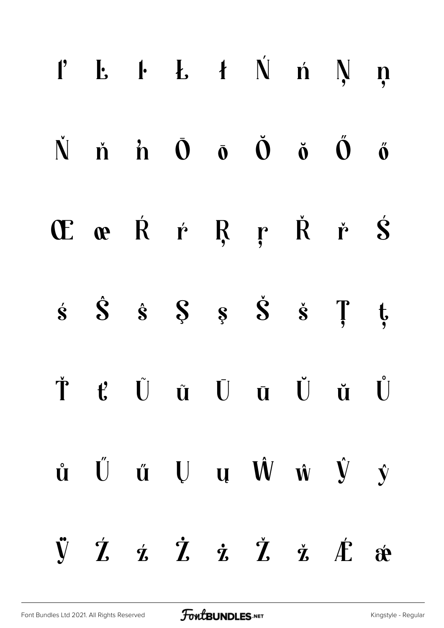|  |  | $l'$ $L$ $l$ $L$ $f$ $\acute{N}$ $n$ $N$ $n$                                                                                                                                                                            |  |  |
|--|--|-------------------------------------------------------------------------------------------------------------------------------------------------------------------------------------------------------------------------|--|--|
|  |  | $\dot{N}$ $\dot{n}$ $\dot{D}$ $\dot{O}$ $\dot{O}$ $\dot{O}$ $\ddot{O}$ $\ddot{O}$                                                                                                                                       |  |  |
|  |  | ŒœŔŕŖŗŘř <b>Ś</b>                                                                                                                                                                                                       |  |  |
|  |  | $\dot{s}$ $\dot{s}$ $\dot{s}$ $\dot{s}$ $\dot{s}$ $\dot{s}$ $\ddot{r}$ $\dot{t}$                                                                                                                                        |  |  |
|  |  | Ť ť Ũ ũ Ū ū Ŭ ŭ Ů                                                                                                                                                                                                       |  |  |
|  |  | $\mathring{\mathbf{u}}$ $\mathring{\mathbf{U}}$ $\mathring{\mathbf{u}}$ $\mathring{\mathbf{U}}$ $\mathring{\mathbf{u}}$ $\mathring{\mathbf{W}}$ $\mathring{\mathbf{w}}$ $\mathring{\mathbf{v}}$ $\mathring{\mathbf{y}}$ |  |  |
|  |  | $\ddot{y}$ $\dot{z}$ $\dot{z}$ $\ddot{z}$ $\ddot{z}$ $\ddot{z}$ $\ddot{z}$ $\ddot{z}$                                                                                                                                   |  |  |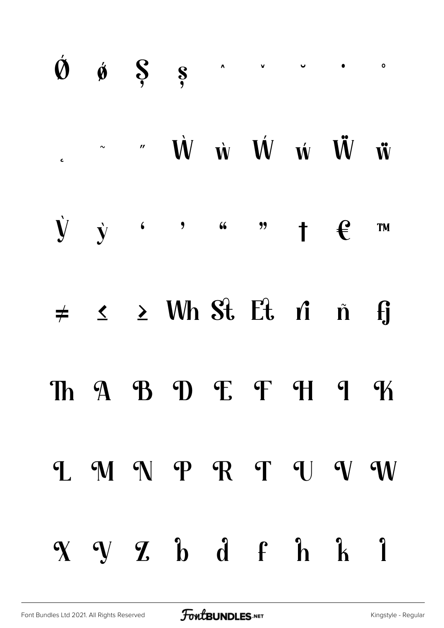